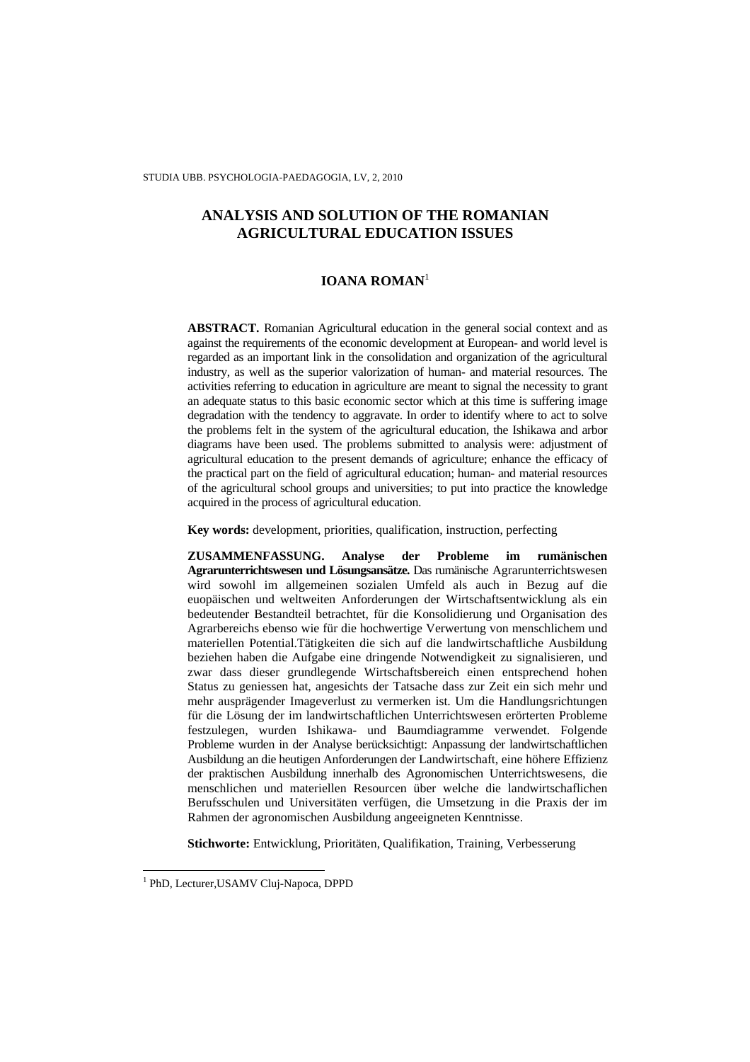STUDIA UBB. PSYCHOLOGIA-PAEDAGOGIA, LV, 2, 2010

# **ANALYSIS AND SOLUTION OF THE ROMANIAN AGRICULTURAL EDUCATION ISSUES**

### **IOANA ROMAN**<sup>1</sup>

**ABSTRACT.** Romanian Agricultural education in the general social context and as against the requirements of the economic development at European- and world level is regarded as an important link in the consolidation and organization of the agricultural industry, as well as the superior valorization of human- and material resources. The activities referring to education in agriculture are meant to signal the necessity to grant an adequate status to this basic economic sector which at this time is suffering image degradation with the tendency to aggravate. In order to identify where to act to solve the problems felt in the system of the agricultural education, the Ishikawa and arbor diagrams have been used. The problems submitted to analysis were: adjustment of agricultural education to the present demands of agriculture; enhance the efficacy of the practical part on the field of agricultural education; human- and material resources of the agricultural school groups and universities; to put into practice the knowledge acquired in the process of agricultural education.

**Key words:** development, priorities, qualification, instruction, perfecting

**ZUSAMMENFASSUNG. Analyse der Probleme im rumänischen Agrarunterrichtswesen und Lösungsansätze.** Das rumänische Agrarunterrichtswesen wird sowohl im allgemeinen sozialen Umfeld als auch in Bezug auf die euopäischen und weltweiten Anforderungen der Wirtschaftsentwicklung als ein bedeutender Bestandteil betrachtet, für die Konsolidierung und Organisation des Agrarbereichs ebenso wie für die hochwertige Verwertung von menschlichem und materiellen Potential.Tätigkeiten die sich auf die landwirtschaftliche Ausbildung beziehen haben die Aufgabe eine dringende Notwendigkeit zu signalisieren, und zwar dass dieser grundlegende Wirtschaftsbereich einen entsprechend hohen Status zu geniessen hat, angesichts der Tatsache dass zur Zeit ein sich mehr und mehr ausprägender Imageverlust zu vermerken ist. Um die Handlungsrichtungen für die Lösung der im landwirtschaftlichen Unterrichtswesen erörterten Probleme festzulegen, wurden Ishikawa- und Baumdiagramme verwendet. Folgende Probleme wurden in der Analyse berücksichtigt: Anpassung der landwirtschaftlichen Ausbildung an die heutigen Anforderungen der Landwirtschaft, eine höhere Effizienz der praktischen Ausbildung innerhalb des Agronomischen Unterrichtswesens, die menschlichen und materiellen Resourcen über welche die landwirtschaflichen Berufsschulen und Universitäten verfügen, die Umsetzung in die Praxis der im Rahmen der agronomischen Ausbildung angeeigneten Kenntnisse.

**Stichworte:** Entwicklung, Prioritäten, Qualifikation, Training, Verbesserung

 1 PhD, Lecturer,USAMV Cluj-Napoca, DPPD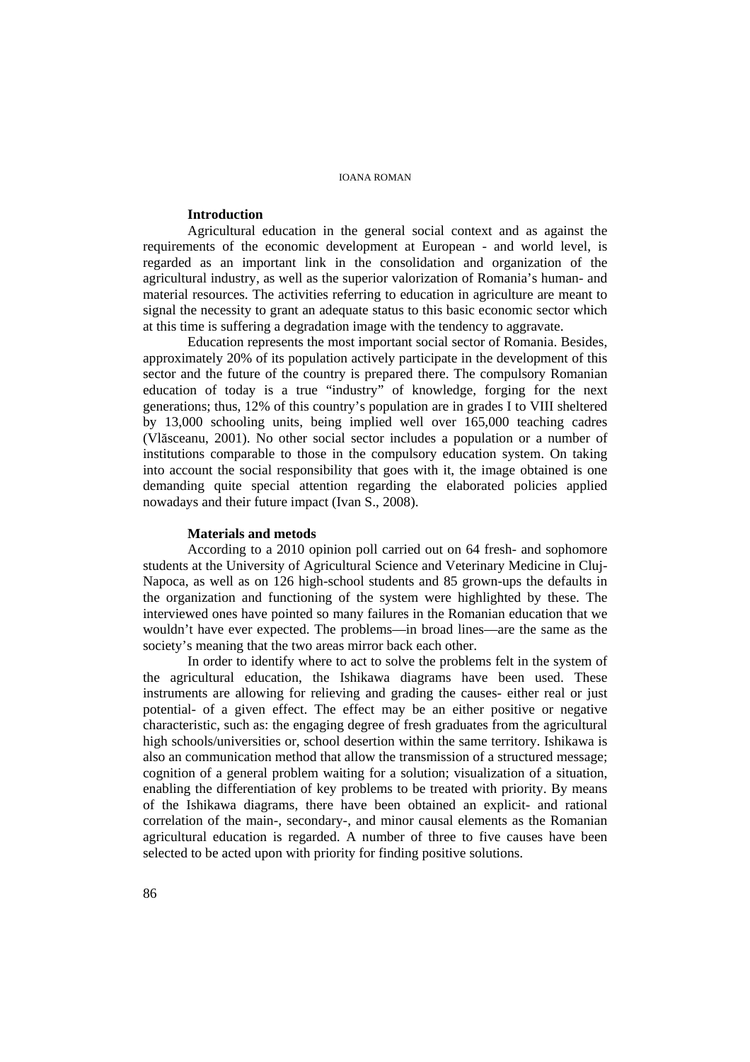## **Introduction**

Agricultural education in the general social context and as against the requirements of the economic development at European - and world level, is regarded as an important link in the consolidation and organization of the agricultural industry, as well as the superior valorization of Romania's human- and material resources. The activities referring to education in agriculture are meant to signal the necessity to grant an adequate status to this basic economic sector which at this time is suffering a degradation image with the tendency to aggravate.

Education represents the most important social sector of Romania. Besides, approximately 20% of its population actively participate in the development of this sector and the future of the country is prepared there. The compulsory Romanian education of today is a true "industry" of knowledge, forging for the next generations; thus, 12% of this country's population are in grades I to VIII sheltered by 13,000 schooling units, being implied well over 165,000 teaching cadres (Vlăsceanu, 2001). No other social sector includes a population or a number of institutions comparable to those in the compulsory education system. On taking into account the social responsibility that goes with it, the image obtained is one demanding quite special attention regarding the elaborated policies applied nowadays and their future impact (Ivan S., 2008).

### **Materials and metods**

According to a 2010 opinion poll carried out on 64 fresh- and sophomore students at the University of Agricultural Science and Veterinary Medicine in Cluj-Napoca, as well as on 126 high-school students and 85 grown-ups the defaults in the organization and functioning of the system were highlighted by these. The interviewed ones have pointed so many failures in the Romanian education that we wouldn't have ever expected. The problems—in broad lines—are the same as the society's meaning that the two areas mirror back each other.

In order to identify where to act to solve the problems felt in the system of the agricultural education, the Ishikawa diagrams have been used. These instruments are allowing for relieving and grading the causes- either real or just potential- of a given effect. The effect may be an either positive or negative characteristic, such as: the engaging degree of fresh graduates from the agricultural high schools/universities or, school desertion within the same territory. Ishikawa is also an communication method that allow the transmission of a structured message; cognition of a general problem waiting for a solution; visualization of a situation, enabling the differentiation of key problems to be treated with priority. By means of the Ishikawa diagrams, there have been obtained an explicit- and rational correlation of the main-, secondary-, and minor causal elements as the Romanian agricultural education is regarded. A number of three to five causes have been selected to be acted upon with priority for finding positive solutions.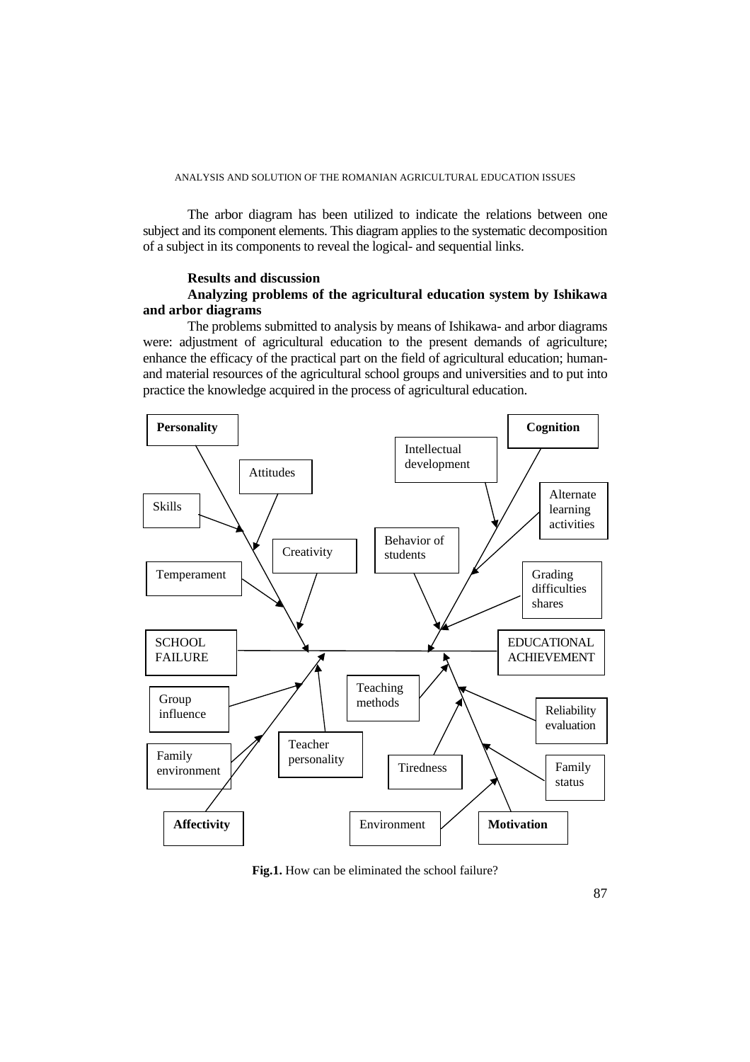The arbor diagram has been utilized to indicate the relations between one subject and its component elements. This diagram applies to the systematic decomposition of a subject in its components to reveal the logical- and sequential links.

### **Results and discussion**

### **Analyzing problems of the agricultural education system by Ishikawa and arbor diagrams**

The problems submitted to analysis by means of Ishikawa- and arbor diagrams were: adjustment of agricultural education to the present demands of agriculture; enhance the efficacy of the practical part on the field of agricultural education; humanand material resources of the agricultural school groups and universities and to put into practice the knowledge acquired in the process of agricultural education.



**Fig.1.** How can be eliminated the school failure?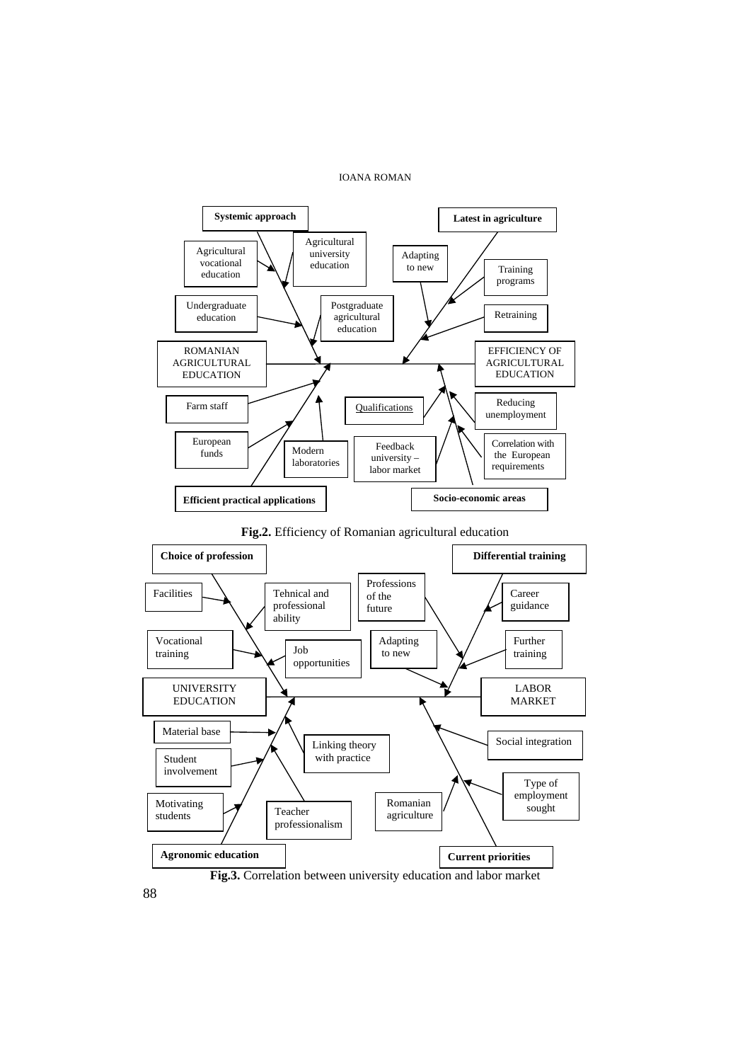

88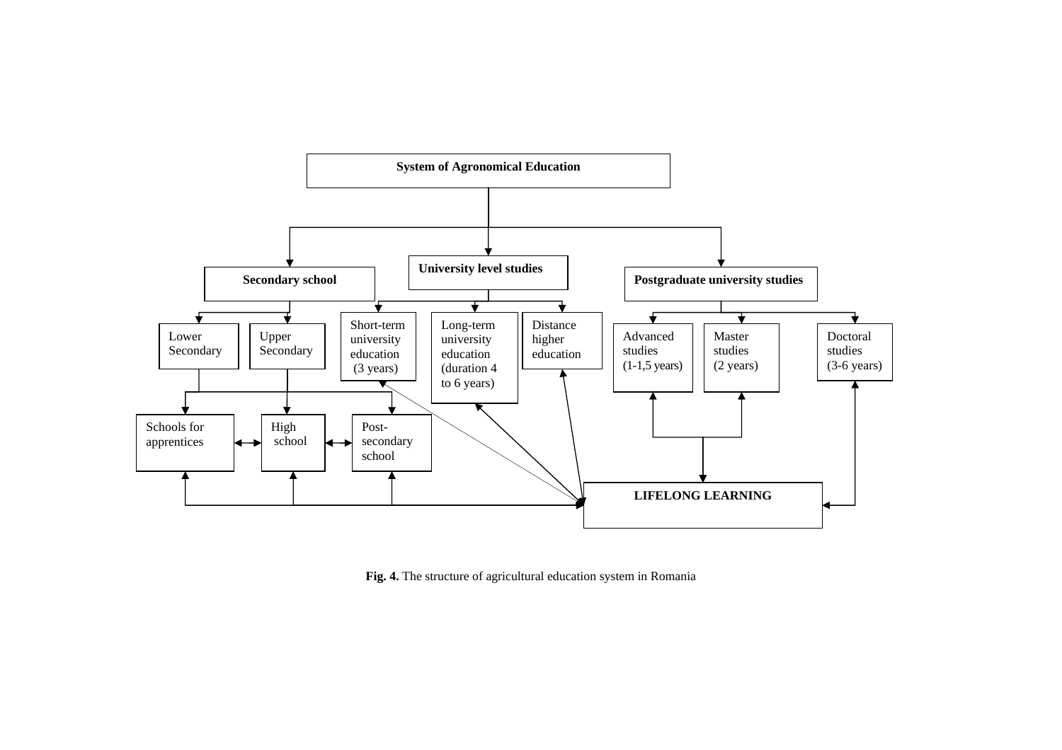

**Fig. 4.** The structure of agricultural education system in Romania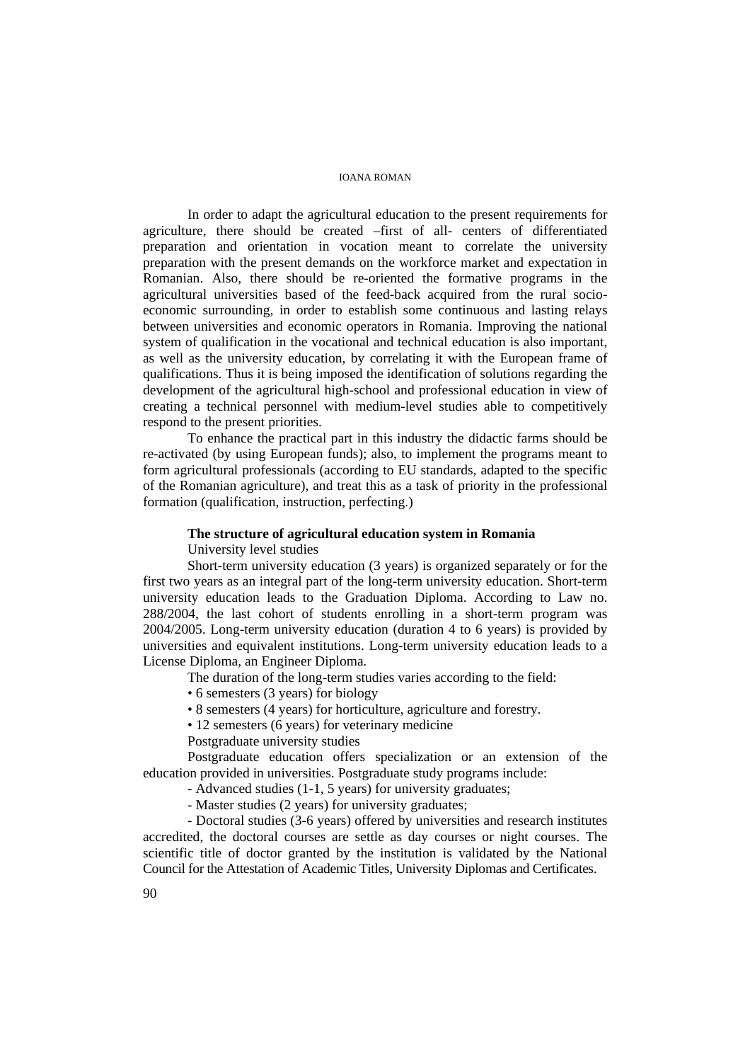In order to adapt the agricultural education to the present requirements for agriculture, there should be created –first of all- centers of differentiated preparation and orientation in vocation meant to correlate the university preparation with the present demands on the workforce market and expectation in Romanian. Also, there should be re-oriented the formative programs in the agricultural universities based of the feed-back acquired from the rural socioeconomic surrounding, in order to establish some continuous and lasting relays between universities and economic operators in Romania. Improving the national system of qualification in the vocational and technical education is also important, as well as the university education, by correlating it with the European frame of qualifications. Thus it is being imposed the identification of solutions regarding the development of the agricultural high-school and professional education in view of creating a technical personnel with medium-level studies able to competitively respond to the present priorities.

To enhance the practical part in this industry the didactic farms should be re-activated (by using European funds); also, to implement the programs meant to form agricultural professionals (according to EU standards, adapted to the specific of the Romanian agriculture), and treat this as a task of priority in the professional formation (qualification, instruction, perfecting.)

### **The structure of agricultural education system in Romania**

University level studies

Short-term university education (3 years) is organized separately or for the first two years as an integral part of the long-term university education. Short-term university education leads to the Graduation Diploma. According to Law no. 288/2004, the last cohort of students enrolling in a short-term program was 2004/2005. Long-term university education (duration 4 to 6 years) is provided by universities and equivalent institutions. Long-term university education leads to a License Diploma, an Engineer Diploma*.*

The duration of the long-term studies varies according to the field:

• 6 semesters (3 years) for biology

• 8 semesters (4 years) for horticulture, agriculture and forestry.

• 12 semesters (6 years) for veterinary medicine

Postgraduate university studies

Postgraduate education offers specialization or an extension of the education provided in universities. Postgraduate study programs include:

- Advanced studies (1-1, 5 years) for university graduates;

- Master studies (2 years) for university graduates;

- Doctoral studies (3-6 years) offered by universities and research institutes accredited, the doctoral courses are settle as day courses or night courses. The scientific title of doctor granted by the institution is validated by the National Council for the Attestation of Academic Titles, University Diplomas and Certificates.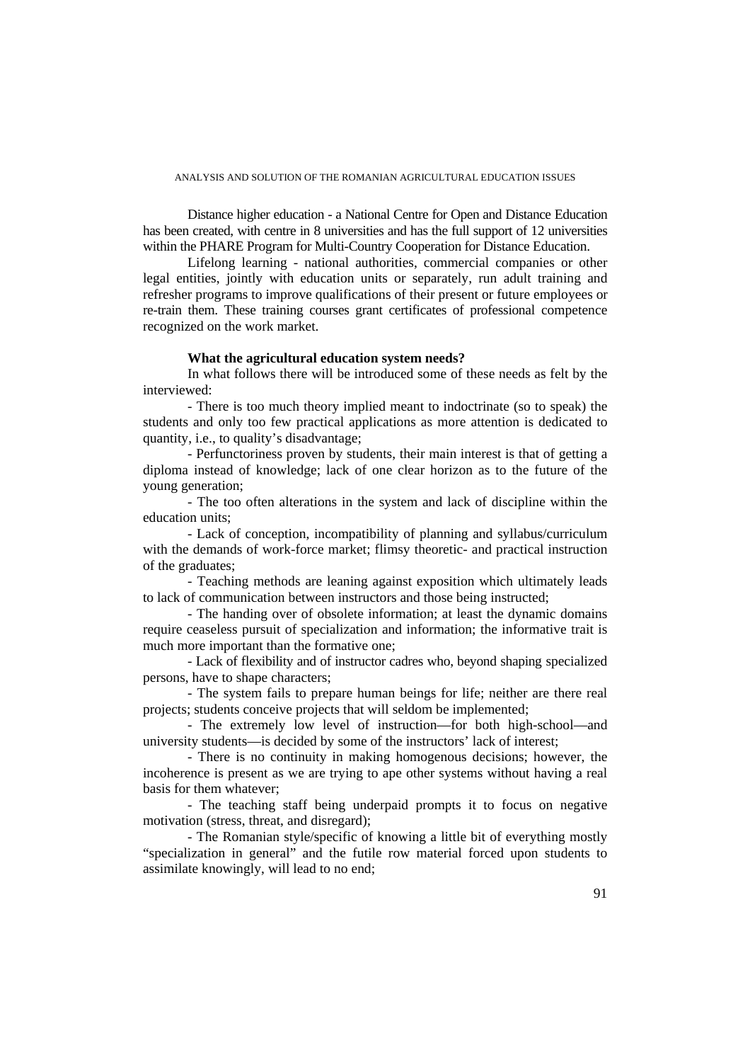Distance higher education - a National Centre for Open and Distance Education has been created, with centre in 8 universities and has the full support of 12 universities within the PHARE Program for Multi-Country Cooperation for Distance Education.

Lifelong learning - national authorities, commercial companies or other legal entities, jointly with education units or separately, run adult training and refresher programs to improve qualifications of their present or future employees or re-train them. These training courses grant certificates of professional competence recognized on the work market.

### **What the agricultural education system needs?**

In what follows there will be introduced some of these needs as felt by the interviewed:

- There is too much theory implied meant to indoctrinate (so to speak) the students and only too few practical applications as more attention is dedicated to quantity, i.e., to quality's disadvantage;

- Perfunctoriness proven by students, their main interest is that of getting a diploma instead of knowledge; lack of one clear horizon as to the future of the young generation;

- The too often alterations in the system and lack of discipline within the education units;

- Lack of conception, incompatibility of planning and syllabus/curriculum with the demands of work-force market; flimsy theoretic- and practical instruction of the graduates;

- Teaching methods are leaning against exposition which ultimately leads to lack of communication between instructors and those being instructed;

- The handing over of obsolete information; at least the dynamic domains require ceaseless pursuit of specialization and information; the informative trait is much more important than the formative one;

- Lack of flexibility and of instructor cadres who, beyond shaping specialized persons, have to shape characters;

- The system fails to prepare human beings for life; neither are there real projects; students conceive projects that will seldom be implemented;

- The extremely low level of instruction—for both high-school—and university students—is decided by some of the instructors' lack of interest;

- There is no continuity in making homogenous decisions; however, the incoherence is present as we are trying to ape other systems without having a real basis for them whatever;

- The teaching staff being underpaid prompts it to focus on negative motivation (stress, threat, and disregard);

- The Romanian style/specific of knowing a little bit of everything mostly "specialization in general" and the futile row material forced upon students to assimilate knowingly, will lead to no end;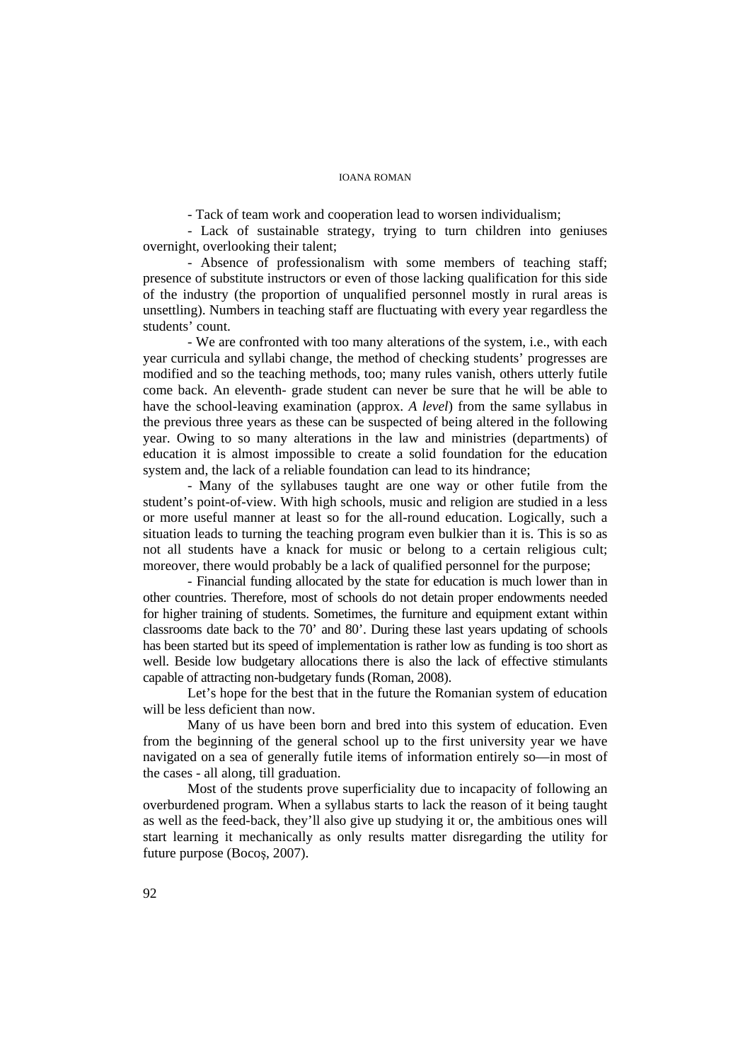- Tack of team work and cooperation lead to worsen individualism;

- Lack of sustainable strategy, trying to turn children into geniuses overnight, overlooking their talent;

- Absence of professionalism with some members of teaching staff; presence of substitute instructors or even of those lacking qualification for this side of the industry (the proportion of unqualified personnel mostly in rural areas is unsettling). Numbers in teaching staff are fluctuating with every year regardless the students' count.

- We are confronted with too many alterations of the system, i.e., with each year curricula and syllabi change, the method of checking students' progresses are modified and so the teaching methods, too; many rules vanish, others utterly futile come back. An eleventh- grade student can never be sure that he will be able to have the school-leaving examination (approx. *A level*) from the same syllabus in the previous three years as these can be suspected of being altered in the following year. Owing to so many alterations in the law and ministries (departments) of education it is almost impossible to create a solid foundation for the education system and, the lack of a reliable foundation can lead to its hindrance;

- Many of the syllabuses taught are one way or other futile from the student's point-of-view. With high schools, music and religion are studied in a less or more useful manner at least so for the all-round education. Logically, such a situation leads to turning the teaching program even bulkier than it is. This is so as not all students have a knack for music or belong to a certain religious cult; moreover, there would probably be a lack of qualified personnel for the purpose;

- Financial funding allocated by the state for education is much lower than in other countries. Therefore, most of schools do not detain proper endowments needed for higher training of students. Sometimes, the furniture and equipment extant within classrooms date back to the 70' and 80'. During these last years updating of schools has been started but its speed of implementation is rather low as funding is too short as well. Beside low budgetary allocations there is also the lack of effective stimulants capable of attracting non-budgetary funds (Roman, 2008).

Let's hope for the best that in the future the Romanian system of education will be less deficient than now.

Many of us have been born and bred into this system of education. Even from the beginning of the general school up to the first university year we have navigated on a sea of generally futile items of information entirely so—in most of the cases - all along, till graduation.

Most of the students prove superficiality due to incapacity of following an overburdened program. When a syllabus starts to lack the reason of it being taught as well as the feed-back, they'll also give up studying it or, the ambitious ones will start learning it mechanically as only results matter disregarding the utility for future purpose (Bocoş, 2007).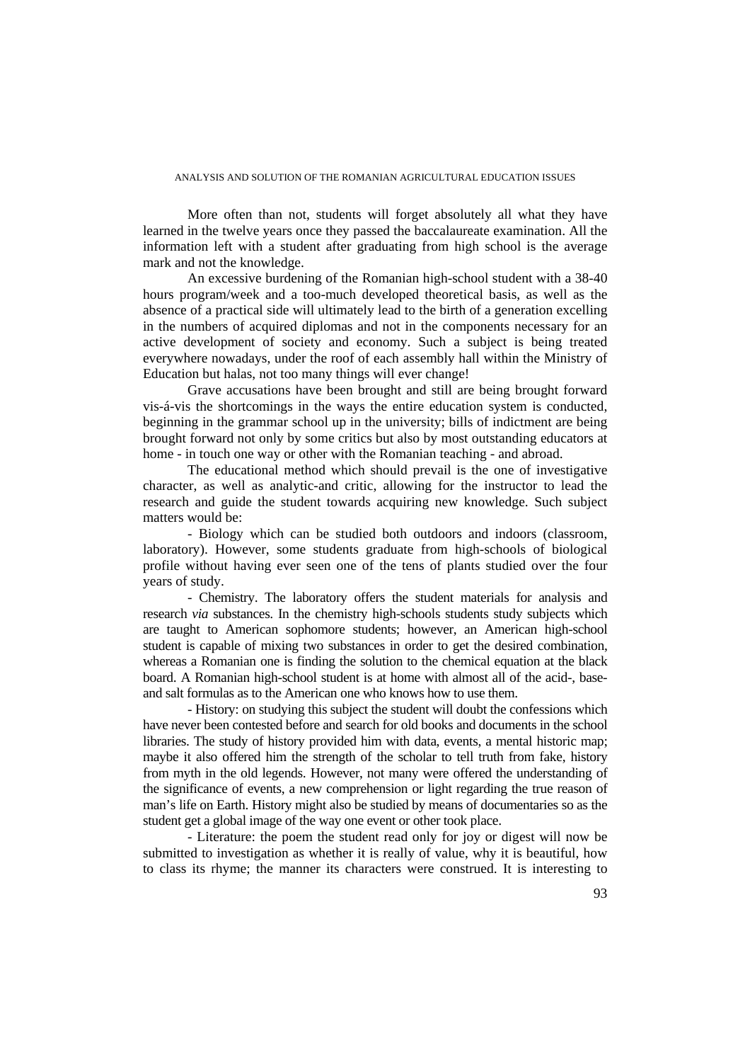More often than not, students will forget absolutely all what they have learned in the twelve years once they passed the baccalaureate examination. All the information left with a student after graduating from high school is the average mark and not the knowledge.

An excessive burdening of the Romanian high-school student with a 38-40 hours program/week and a too-much developed theoretical basis, as well as the absence of a practical side will ultimately lead to the birth of a generation excelling in the numbers of acquired diplomas and not in the components necessary for an active development of society and economy. Such a subject is being treated everywhere nowadays, under the roof of each assembly hall within the Ministry of Education but halas, not too many things will ever change!

Grave accusations have been brought and still are being brought forward vis-á-vis the shortcomings in the ways the entire education system is conducted, beginning in the grammar school up in the university; bills of indictment are being brought forward not only by some critics but also by most outstanding educators at home - in touch one way or other with the Romanian teaching - and abroad.

The educational method which should prevail is the one of investigative character, as well as analytic-and critic, allowing for the instructor to lead the research and guide the student towards acquiring new knowledge. Such subject matters would be:

- Biology which can be studied both outdoors and indoors (classroom, laboratory). However, some students graduate from high-schools of biological profile without having ever seen one of the tens of plants studied over the four years of study.

- Chemistry. The laboratory offers the student materials for analysis and research *via* substances. In the chemistry high-schools students study subjects which are taught to American sophomore students; however, an American high-school student is capable of mixing two substances in order to get the desired combination, whereas a Romanian one is finding the solution to the chemical equation at the black board. A Romanian high-school student is at home with almost all of the acid-, baseand salt formulas as to the American one who knows how to use them.

- History: on studying this subject the student will doubt the confessions which have never been contested before and search for old books and documents in the school libraries. The study of history provided him with data, events, a mental historic map; maybe it also offered him the strength of the scholar to tell truth from fake, history from myth in the old legends. However, not many were offered the understanding of the significance of events, a new comprehension or light regarding the true reason of man's life on Earth. History might also be studied by means of documentaries so as the student get a global image of the way one event or other took place.

- Literature: the poem the student read only for joy or digest will now be submitted to investigation as whether it is really of value, why it is beautiful, how to class its rhyme; the manner its characters were construed. It is interesting to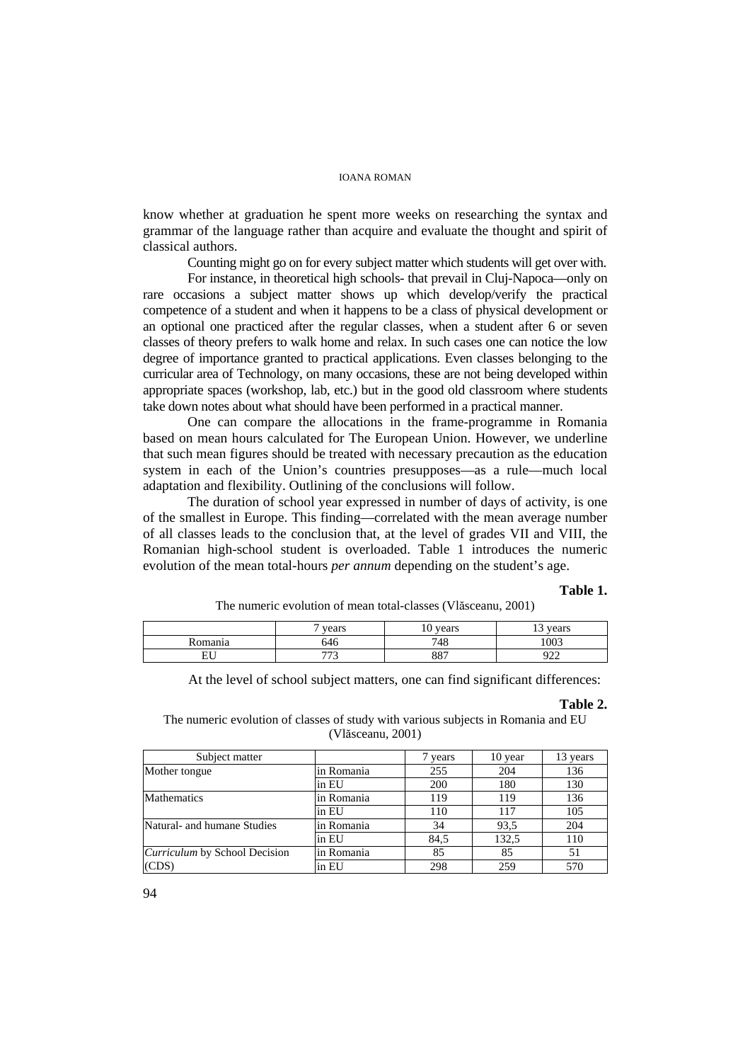know whether at graduation he spent more weeks on researching the syntax and grammar of the language rather than acquire and evaluate the thought and spirit of classical authors.

Counting might go on for every subject matter which students will get over with.

For instance, in theoretical high schools- that prevail in Cluj-Napoca—only on rare occasions a subject matter shows up which develop/verify the practical competence of a student and when it happens to be a class of physical development or an optional one practiced after the regular classes, when a student after 6 or seven classes of theory prefers to walk home and relax. In such cases one can notice the low degree of importance granted to practical applications. Even classes belonging to the curricular area of Technology, on many occasions, these are not being developed within appropriate spaces (workshop, lab, etc.) but in the good old classroom where students take down notes about what should have been performed in a practical manner.

One can compare the allocations in the frame-programme in Romania based on mean hours calculated for The European Union. However, we underline that such mean figures should be treated with necessary precaution as the education system in each of the Union's countries presupposes—as a rule—much local adaptation and flexibility. Outlining of the conclusions will follow.

The duration of school year expressed in number of days of activity, is one of the smallest in Europe. This finding—correlated with the mean average number of all classes leads to the conclusion that, at the level of grades VII and VIII, the Romanian high-school student is overloaded. Table 1 introduces the numeric evolution of the mean total-hours *per annum* depending on the student's age.

#### **Table 1.**

The numeric evolution of mean total-classes (Vlăsceanu, 2001)

|           | vears      | vears<br>ΙV | vears<br>. . |
|-----------|------------|-------------|--------------|
| Romania   | 546        | 748         | 1003         |
| EТ<br>EU. | ---<br>ر ر | 887         | റാ<br>הגי    |

At the level of school subject matters, one can find significant differences:

#### **Table 2.**

The numeric evolution of classes of study with various subjects in Romania and EU (Vlăsceanu, 2001)

| Subject matter                       |            | vears | 10 year | 13 years |
|--------------------------------------|------------|-------|---------|----------|
| Mother tongue                        | in Romania | 255   | 204     | 136      |
|                                      | in EU      | 200   | 180     | 130      |
| <b>Mathematics</b>                   | in Romania | 119   | 119     | 136      |
|                                      | in EU      | 110   | 117     | 105      |
| Natural- and humane Studies          | in Romania | 34    | 93.5    | 204      |
|                                      | in EU      | 84.5  | 132.5   | 110      |
| <i>Curriculum</i> by School Decision | in Romania | 85    | 85      | 51       |
| (CDS)                                | in EU      | 298   | 259     | 570      |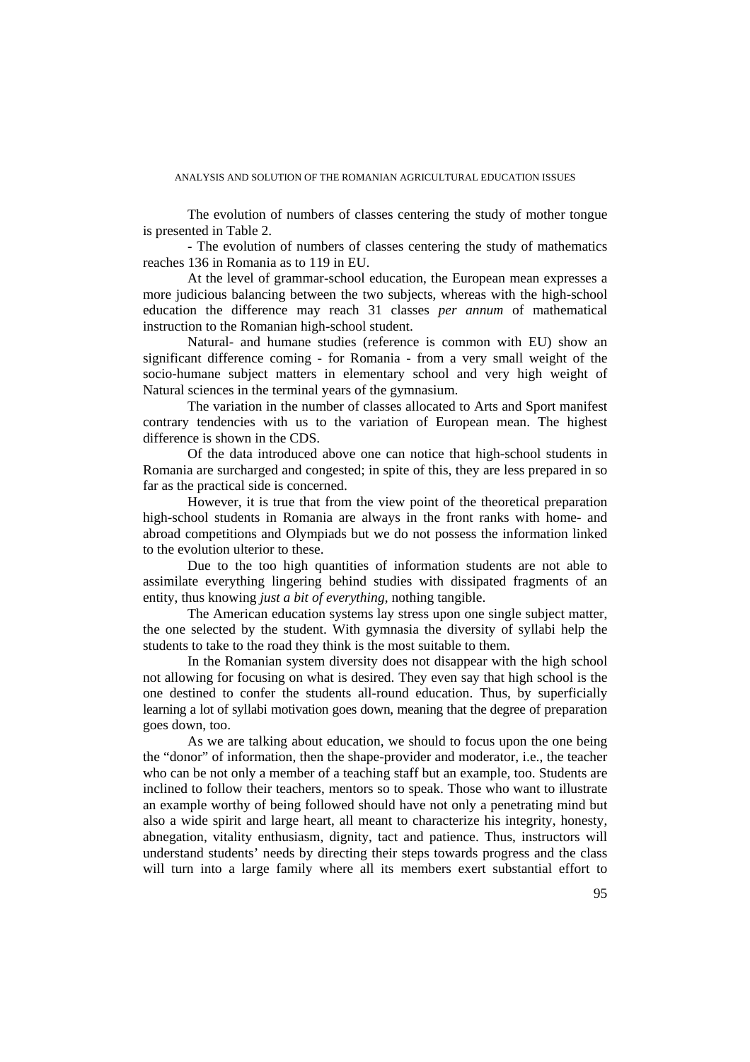The evolution of numbers of classes centering the study of mother tongue is presented in Table 2.

- The evolution of numbers of classes centering the study of mathematics reaches 136 in Romania as to 119 in EU.

At the level of grammar-school education, the European mean expresses a more judicious balancing between the two subjects, whereas with the high-school education the difference may reach 31 classes *per annum* of mathematical instruction to the Romanian high-school student.

Natural- and humane studies (reference is common with EU) show an significant difference coming - for Romania - from a very small weight of the socio-humane subject matters in elementary school and very high weight of Natural sciences in the terminal years of the gymnasium.

The variation in the number of classes allocated to Arts and Sport manifest contrary tendencies with us to the variation of European mean. The highest difference is shown in the CDS.

Of the data introduced above one can notice that high-school students in Romania are surcharged and congested; in spite of this, they are less prepared in so far as the practical side is concerned.

However, it is true that from the view point of the theoretical preparation high-school students in Romania are always in the front ranks with home- and abroad competitions and Olympiads but we do not possess the information linked to the evolution ulterior to these.

Due to the too high quantities of information students are not able to assimilate everything lingering behind studies with dissipated fragments of an entity, thus knowing *just a bit of everything*, nothing tangible.

The American education systems lay stress upon one single subject matter, the one selected by the student. With gymnasia the diversity of syllabi help the students to take to the road they think is the most suitable to them.

In the Romanian system diversity does not disappear with the high school not allowing for focusing on what is desired. They even say that high school is the one destined to confer the students all-round education. Thus, by superficially learning a lot of syllabi motivation goes down, meaning that the degree of preparation goes down, too.

As we are talking about education, we should to focus upon the one being the "donor" of information, then the shape-provider and moderator, i.e., the teacher who can be not only a member of a teaching staff but an example, too. Students are inclined to follow their teachers, mentors so to speak. Those who want to illustrate an example worthy of being followed should have not only a penetrating mind but also a wide spirit and large heart, all meant to characterize his integrity, honesty, abnegation, vitality enthusiasm, dignity, tact and patience. Thus, instructors will understand students' needs by directing their steps towards progress and the class will turn into a large family where all its members exert substantial effort to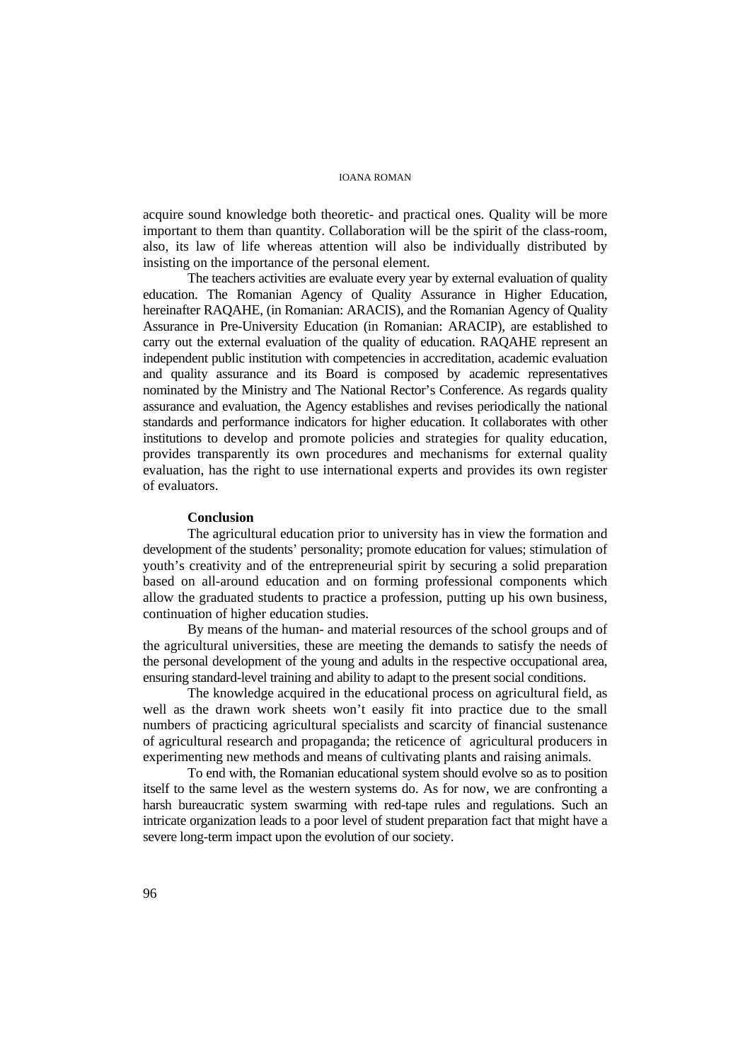acquire sound knowledge both theoretic- and practical ones. Quality will be more important to them than quantity. Collaboration will be the spirit of the class-room, also, its law of life whereas attention will also be individually distributed by insisting on the importance of the personal element.

The teachers activities are evaluate every year by external evaluation of quality education. The Romanian Agency of Quality Assurance in Higher Education, hereinafter RAQAHE, (in Romanian: ARACIS), and the Romanian Agency of Quality Assurance in Pre-University Education (in Romanian: ARACIP), are established to carry out the external evaluation of the quality of education. RAQAHE represent an independent public institution with competencies in accreditation, academic evaluation and quality assurance and its Board is composed by academic representatives nominated by the Ministry and The National Rector's Conference. As regards quality assurance and evaluation, the Agency establishes and revises periodically the national standards and performance indicators for higher education. It collaborates with other institutions to develop and promote policies and strategies for quality education, provides transparently its own procedures and mechanisms for external quality evaluation, has the right to use international experts and provides its own register of evaluators.

### **Conclusion**

The agricultural education prior to university has in view the formation and development of the students' personality; promote education for values; stimulation of youth's creativity and of the entrepreneurial spirit by securing a solid preparation based on all-around education and on forming professional components which allow the graduated students to practice a profession, putting up his own business, continuation of higher education studies.

By means of the human- and material resources of the school groups and of the agricultural universities, these are meeting the demands to satisfy the needs of the personal development of the young and adults in the respective occupational area, ensuring standard-level training and ability to adapt to the present social conditions.

The knowledge acquired in the educational process on agricultural field, as well as the drawn work sheets won't easily fit into practice due to the small numbers of practicing agricultural specialists and scarcity of financial sustenance of agricultural research and propaganda; the reticence of agricultural producers in experimenting new methods and means of cultivating plants and raising animals.

To end with, the Romanian educational system should evolve so as to position itself to the same level as the western systems do. As for now, we are confronting a harsh bureaucratic system swarming with red-tape rules and regulations. Such an intricate organization leads to a poor level of student preparation fact that might have a severe long-term impact upon the evolution of our society.